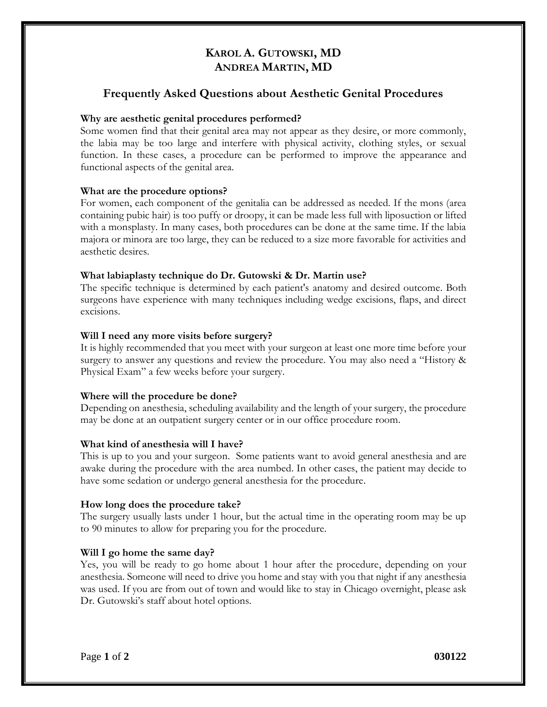## **KAROL A. GUTOWSKI, MD ANDREA MARTIN, MD**

## **Frequently Asked Questions about Aesthetic Genital Procedures**

### **Why are aesthetic genital procedures performed?**

Some women find that their genital area may not appear as they desire, or more commonly, the labia may be too large and interfere with physical activity, clothing styles, or sexual function. In these cases, a procedure can be performed to improve the appearance and functional aspects of the genital area.

## **What are the procedure options?**

For women, each component of the genitalia can be addressed as needed. If the mons (area containing pubic hair) is too puffy or droopy, it can be made less full with liposuction or lifted with a monsplasty. In many cases, both procedures can be done at the same time. If the labia majora or minora are too large, they can be reduced to a size more favorable for activities and aesthetic desires.

## **What labiaplasty technique do Dr. Gutowski & Dr. Martin use?**

The specific technique is determined by each patient's anatomy and desired outcome. Both surgeons have experience with many techniques including wedge excisions, flaps, and direct excisions.

## **Will I need any more visits before surgery?**

It is highly recommended that you meet with your surgeon at least one more time before your surgery to answer any questions and review the procedure. You may also need a "History & Physical Exam" a few weeks before your surgery.

## **Where will the procedure be done?**

Depending on anesthesia, scheduling availability and the length of your surgery, the procedure may be done at an outpatient surgery center or in our office procedure room.

### **What kind of anesthesia will I have?**

This is up to you and your surgeon. Some patients want to avoid general anesthesia and are awake during the procedure with the area numbed. In other cases, the patient may decide to have some sedation or undergo general anesthesia for the procedure.

### **How long does the procedure take?**

The surgery usually lasts under 1 hour, but the actual time in the operating room may be up to 90 minutes to allow for preparing you for the procedure.

## **Will I go home the same day?**

Yes, you will be ready to go home about 1 hour after the procedure, depending on your anesthesia. Someone will need to drive you home and stay with you that night if any anesthesia was used. If you are from out of town and would like to stay in Chicago overnight, please ask Dr. Gutowski's staff about hotel options.